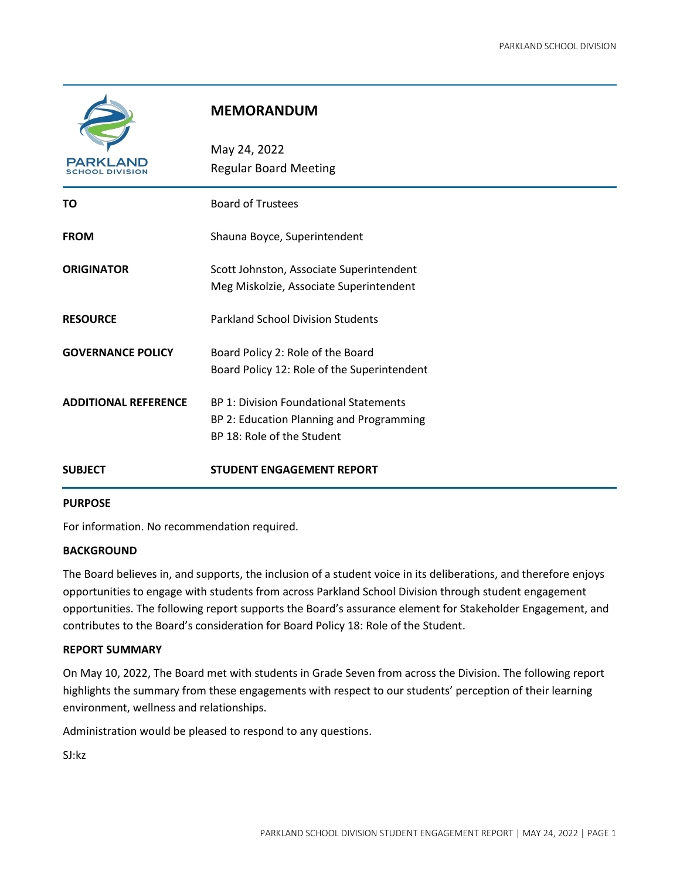

# **MEMORANDUM**

| <b>PARKI</b><br>OOL         | May 24, 2022<br><b>Regular Board Meeting</b>  |  |  |  |  |  |
|-----------------------------|-----------------------------------------------|--|--|--|--|--|
| ΤО                          | <b>Board of Trustees</b>                      |  |  |  |  |  |
| <b>FROM</b>                 | Shauna Boyce, Superintendent                  |  |  |  |  |  |
| <b>ORIGINATOR</b>           | Scott Johnston, Associate Superintendent      |  |  |  |  |  |
|                             | Meg Miskolzie, Associate Superintendent       |  |  |  |  |  |
| <b>RESOURCE</b>             | <b>Parkland School Division Students</b>      |  |  |  |  |  |
| <b>GOVERNANCE POLICY</b>    | Board Policy 2: Role of the Board             |  |  |  |  |  |
|                             | Board Policy 12: Role of the Superintendent   |  |  |  |  |  |
| <b>ADDITIONAL REFERENCE</b> | <b>BP 1: Division Foundational Statements</b> |  |  |  |  |  |
|                             | BP 2: Education Planning and Programming      |  |  |  |  |  |
|                             | BP 18: Role of the Student                    |  |  |  |  |  |
| <b>SUBJECT</b>              | <b>STUDENT ENGAGEMENT REPORT</b>              |  |  |  |  |  |

#### **PURPOSE**

For information. No recommendation required.

#### **BACKGROUND**

The Board believes in, and supports, the inclusion of a student voice in its deliberations, and therefore enjoys opportunities to engage with students from across Parkland School Division through student engagement opportunities. The following report supports the Board's assurance element for Stakeholder Engagement, and contributes to the Board's consideration for Board Policy 18: Role of the Student.

#### **REPORT SUMMARY**

On May 10, 2022, The Board met with students in Grade Seven from across the Division. The following report highlights the summary from these engagements with respect to our students' perception of their learning environment, wellness and relationships.

Administration would be pleased to respond to any questions.

SJ:kz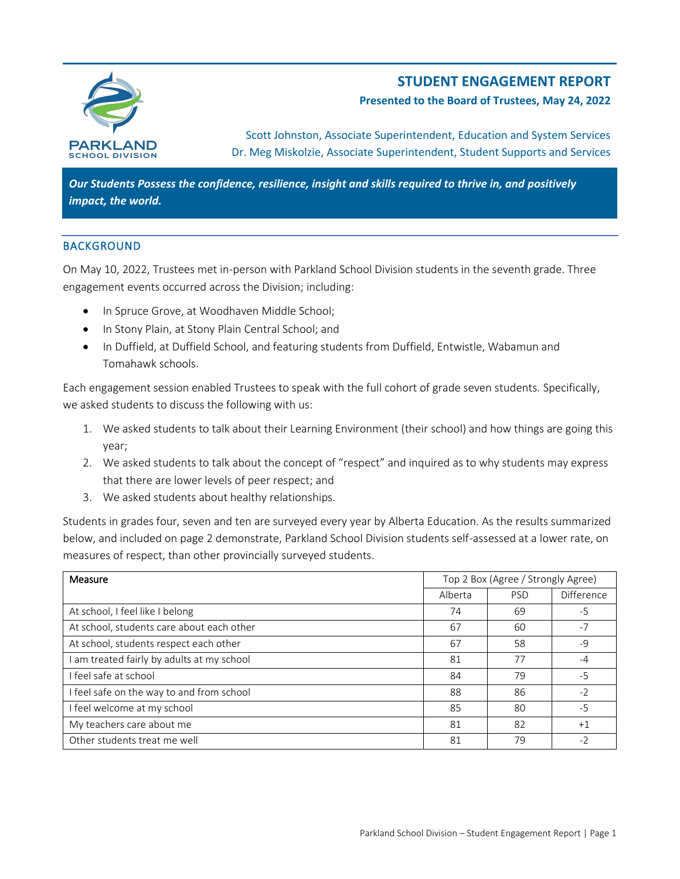

# **STUDENT ENGAGEMENT REPORT**

### **Presented to the Board of Trustees, May 24, 2022**

Scott Johnston, Associate Superintendent, Education and System Services Dr. Meg Miskolzie, Associate Superintendent, Student Supports and Services

*Our Students Possess the confidence, resilience, insight and skills required to thrive in, and positively impact, the world.*

### **BACKGROUND**

On May 10, 2022, Trustees met in-person with Parkland School Division students in the seventh grade. Three engagement events occurred across the Division; including:

- In Spruce Grove, at Woodhaven Middle School;
- In Stony Plain, at Stony Plain Central School; and
- In Duffield, at Duffield School, and featuring students from Duffield, Entwistle, Wabamun and Tomahawk schools.

Each engagement session enabled Trustees to speak with the full cohort of grade seven students. Specifically, we asked students to discuss the following with us:

- 1. We asked students to talk about their Learning Environment (their school) and how things are going this year;
- 2. We asked students to talk about the concept of "respect" and inquired as to why students may express that there are lower levels of peer respect; and
- 3. We asked students about healthy relationships.

Students in grades four, seven and ten are surveyed every year by Alberta Education. As the results summarized below, and included on page 2 demonstrate, Parkland School Division students self-assessed at a lower rate, on measures of respect, than other provincially surveyed students.

| Measure                                   | Top 2 Box (Agree / Strongly Agree) |            |            |
|-------------------------------------------|------------------------------------|------------|------------|
|                                           | Alberta                            | <b>PSD</b> | Difference |
| At school, I feel like I belong           | 74                                 | 69         | $-5$       |
| At school, students care about each other | 67                                 | 60         | $-7$       |
| At school, students respect each other    | 67                                 | 58         | $-9$       |
| am treated fairly by adults at my school  | 81                                 | 77         | $-4$       |
| I feel safe at school                     | 84                                 | 79         | $-5$       |
| I feel safe on the way to and from school | 88                                 | 86         | $-2$       |
| I feel welcome at my school               | 85                                 | 80         | $-5$       |
| My teachers care about me                 | 81                                 | 82         | $+1$       |
| Other students treat me well              | 81                                 | 79         | $-2$       |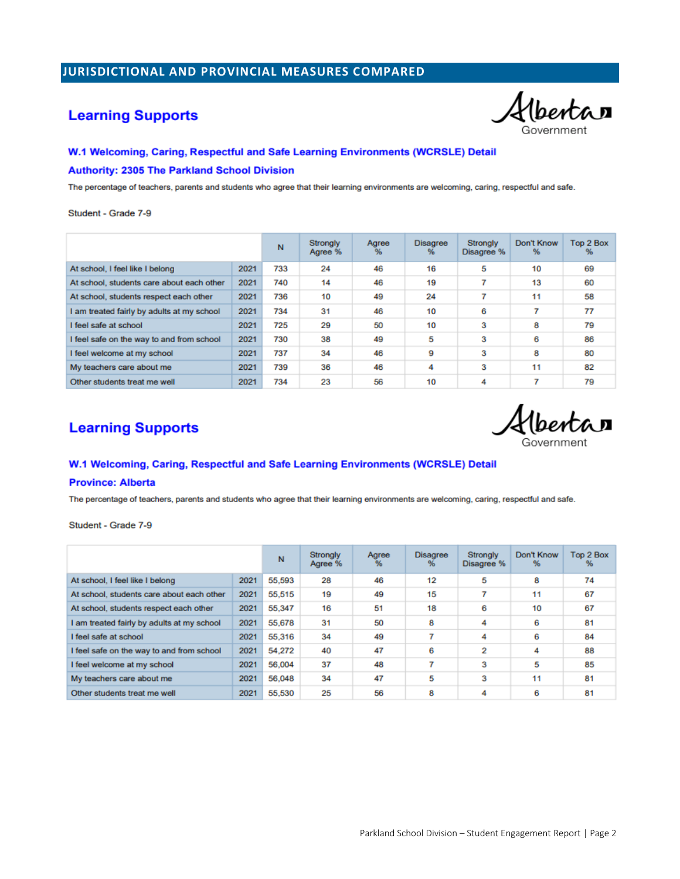## JURISDICTIONAL AND PROVINCIAL MEASURES COMPARED

## **Learning Supports**

Albertan

#### W.1 Welcoming, Caring, Respectful and Safe Learning Environments (WCRSLE) Detail

#### **Authority: 2305 The Parkland School Division**

The percentage of teachers, parents and students who agree that their learning environments are welcoming, caring, respectful and safe.

Student - Grade 7-9

|                                            |      | N   | <b>Strongly</b><br>Agree % | Agree<br>% | <b>Disagree</b><br>% | <b>Strongly</b><br>Disagree % | Don't Know<br>% | Top 2 Box<br>℁ |
|--------------------------------------------|------|-----|----------------------------|------------|----------------------|-------------------------------|-----------------|----------------|
| At school, I feel like I belong            | 2021 | 733 | 24                         | 46         | 16                   | 5                             | 10              | 69             |
| At school, students care about each other  | 2021 | 740 | 14                         | 46         | 19                   | ₹                             | 13              | 60             |
| At school, students respect each other     | 2021 | 736 | 10                         | 49         | 24                   | 7                             | 11              | 58             |
| I am treated fairly by adults at my school | 2021 | 734 | 31                         | 46         | 10                   | 6                             | 7               | 77             |
| I feel safe at school                      | 2021 | 725 | 29                         | 50         | 10                   | 3                             | 8               | 79             |
| I feel safe on the way to and from school  | 2021 | 730 | 38                         | 49         | 5                    | 3                             | 6               | 86             |
| I feel welcome at my school                | 2021 | 737 | 34                         | 46         | 9                    | 3                             | 8               | 80             |
| My teachers care about me                  | 2021 | 739 | 36                         | 46         | 4                    | 3                             | 11              | 82             |
| Other students treat me well               | 2021 | 734 | 23                         | 56         | 10                   | 4                             | 7               | 79             |

## **Learning Supports**

hentar

#### W.1 Welcoming, Caring, Respectful and Safe Learning Environments (WCRSLE) Detail

#### **Province: Alberta**

The percentage of teachers, parents and students who agree that their learning environments are welcoming, caring, respectful and safe.

Student - Grade 7-9

|                                            |      | N      | Strongly<br>Agree % | Agree<br>% | <b>Disagree</b><br>% | <b>Strongly</b><br>Disagree % | Don't Know<br>% | Top 2 Box<br>$\frac{9}{6}$ |
|--------------------------------------------|------|--------|---------------------|------------|----------------------|-------------------------------|-----------------|----------------------------|
| At school, I feel like I belong            | 2021 | 55,593 | 28                  | 46         | 12                   | 5                             | 8               | 74                         |
| At school, students care about each other  | 2021 | 55,515 | 19                  | 49         | 15                   | ₹                             | 11              | 67                         |
| At school, students respect each other     | 2021 | 55,347 | 16                  | 51         | 18                   | 6                             | 10              | 67                         |
| I am treated fairly by adults at my school | 2021 | 55,678 | 31                  | 50         | 8                    | 4                             | 6               | 81                         |
| I feel safe at school                      | 2021 | 55,316 | 34                  | 49         | ۰,                   | 4                             | 6               | 84                         |
| I feel safe on the way to and from school  | 2021 | 54,272 | 40                  | 47         | 6                    | 2                             | 4               | 88                         |
| I feel welcome at my school                | 2021 | 56,004 | 37                  | 48         | 7                    | 3                             | 5               | 85                         |
| My teachers care about me                  | 2021 | 56,048 | 34                  | 47         | 5                    | 3                             | 11              | 81                         |
| Other students treat me well               | 2021 | 55,530 | 25                  | 56         | 8                    | 4                             | 6               | 81                         |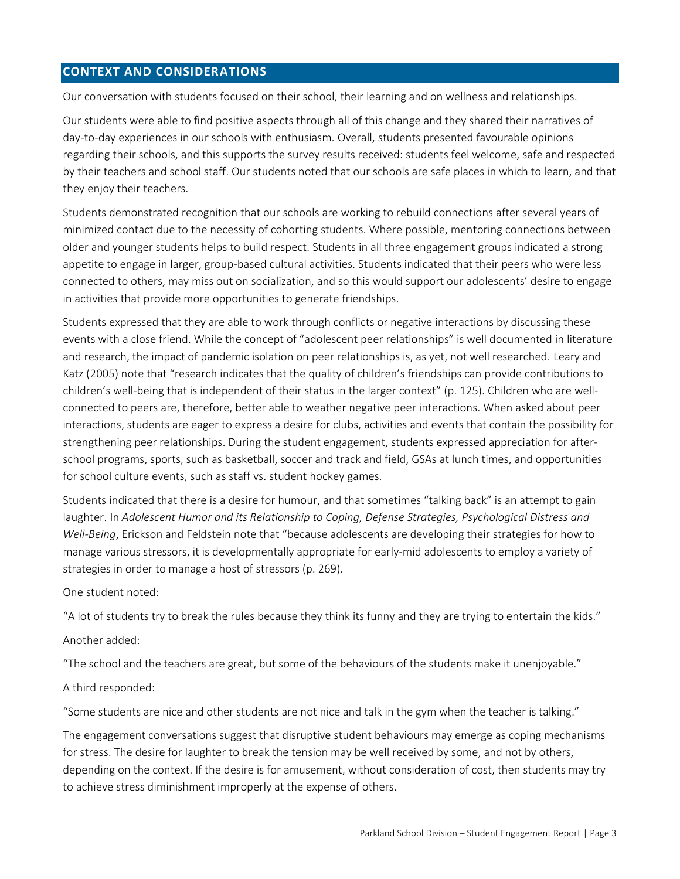### **CONTEXT AND CONSIDERATIONS**

Our conversation with students focused on their school, their learning and on wellness and relationships.

Our students were able to find positive aspects through all of this change and they shared their narratives of day-to-day experiences in our schools with enthusiasm. Overall, students presented favourable opinions regarding their schools, and this supports the survey results received: students feel welcome, safe and respected by their teachers and school staff. Our students noted that our schools are safe places in which to learn, and that they enjoy their teachers.

Students demonstrated recognition that our schools are working to rebuild connections after several years of minimized contact due to the necessity of cohorting students. Where possible, mentoring connections between older and younger students helps to build respect. Students in all three engagement groups indicated a strong appetite to engage in larger, group-based cultural activities. Students indicated that their peers who were less connected to others, may miss out on socialization, and so this would support our adolescents' desire to engage in activities that provide more opportunities to generate friendships.

Students expressed that they are able to work through conflicts or negative interactions by discussing these events with a close friend. While the concept of "adolescent peer relationships" is well documented in literature and research, the impact of pandemic isolation on peer relationships is, as yet, not well researched. Leary and Katz (2005) note that "research indicates that the quality of children's friendships can provide contributions to children's well-being that is independent of their status in the larger context" (p. 125). Children who are wellconnected to peers are, therefore, better able to weather negative peer interactions. When asked about peer interactions, students are eager to express a desire for clubs, activities and events that contain the possibility for strengthening peer relationships. During the student engagement, students expressed appreciation for afterschool programs, sports, such as basketball, soccer and track and field, GSAs at lunch times, and opportunities for school culture events, such as staff vs. student hockey games.

Students indicated that there is a desire for humour, and that sometimes "talking back" is an attempt to gain laughter. In *Adolescent Humor and its Relationship to Coping, Defense Strategies, Psychological Distress and Well-Being*, Erickson and Feldstein note that "because adolescents are developing their strategies for how to manage various stressors, it is developmentally appropriate for early-mid adolescents to employ a variety of strategies in order to manage a host of stressors (p. 269).

One student noted:

"A lot of students try to break the rules because they think its funny and they are trying to entertain the kids."

Another added:

"The school and the teachers are great, but some of the behaviours of the students make it unenjoyable."

A third responded:

"Some students are nice and other students are not nice and talk in the gym when the teacher is talking."

The engagement conversations suggest that disruptive student behaviours may emerge as coping mechanisms for stress. The desire for laughter to break the tension may be well received by some, and not by others, depending on the context. If the desire is for amusement, without consideration of cost, then students may try to achieve stress diminishment improperly at the expense of others.